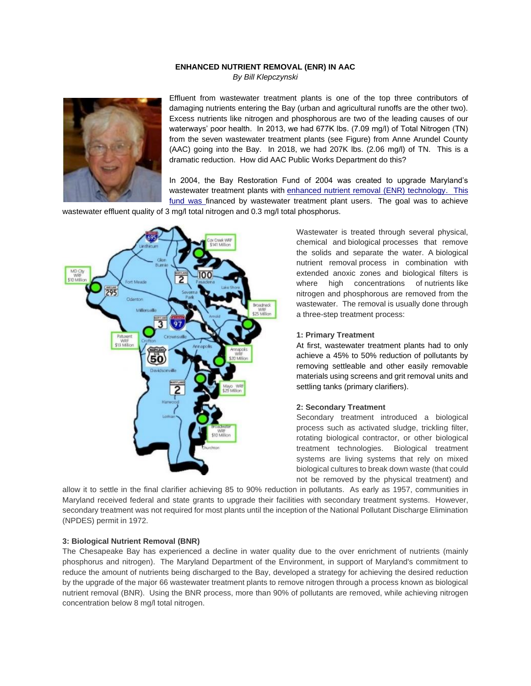## **ENHANCED NUTRIENT REMOVAL (ENR) IN AAC**

*By Bill Klepczynski*



Effluent from wastewater treatment plants is one of the top three contributors of damaging nutrients entering the Bay (urban and agricultural runoffs are the other two). Excess nutrients like nitrogen and phosphorous are two of the leading causes of our waterways' poor health. In 2013, we had 677K lbs. (7.09 mg/l) of Total Nitrogen (TN) from the seven wastewater treatment plants (see Figure) from Anne Arundel County (AAC) going into the Bay. In 2018, we had 207K lbs. (2.06 mg/l) of TN. This is a dramatic reduction. How did AAC Public Works Department do this?

In 2004, the Bay Restoration Fund of 2004 was created to upgrade Maryland's wastewater treatment plants with [enhanced nutrient removal \(ENR\) technology.](https://mde.state.md.us/programs/Water/BayRestorationFund/Pages/enr.aspx) This fund was financed by wastewater treatment plant users. The goal was to achieve

wastewater effluent quality of 3 mg/l total nitrogen and 0.3 mg/l total phosphorus.



Wastewater is treated through several physical, chemical and biological processes that remove the solids and separate the water. A biological nutrient removal process in combination with extended anoxic zones and biological filters is where high concentrations of nutrients like nitrogen and phosphorous are removed from the wastewater. The removal is usually done through a three-step treatment process:

#### **1: Primary Treatment**

At first, wastewater treatment plants had to only achieve a 45% to 50% reduction of pollutants by removing settleable and other easily removable materials using screens and grit removal units and settling tanks (primary clarifiers).

#### **2: Secondary Treatment**

Secondary treatment introduced a biological process such as activated sludge, trickling filter, rotating biological contractor, or other biological treatment technologies. Biological treatment systems are living systems that rely on mixed biological cultures to break down waste (that could not be removed by the physical treatment) and

allow it to settle in the final clarifier achieving 85 to 90% reduction in pollutants. As early as 1957, communities in Maryland received federal and state grants to upgrade their facilities with secondary treatment systems. However, secondary treatment was not required for most plants until the inception of the National Pollutant Discharge Elimination (NPDES) permit in 1972.

### **3: Biological Nutrient Removal (BNR)**

The Chesapeake Bay has experienced a decline in water quality due to the over enrichment of nutrients (mainly phosphorus and nitrogen). The Maryland Department of the Environment, in support of Maryland's commitment to reduce the amount of nutrients being discharged to the Bay, developed a strategy for achieving the desired reduction by the upgrade of the major 66 wastewater treatment plants to remove nitrogen through a process known as biological nutrient removal (BNR). Using the BNR process, more than 90% of pollutants are removed, while achieving nitrogen concentration below 8 mg/l total nitrogen.